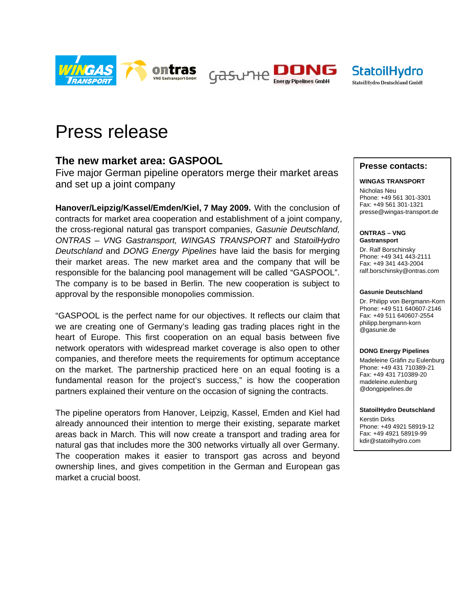

Gasune



# Press release

## **The new market area: GASPOOL**

Five major German pipeline operators merge their market areas and set up a joint company

**Hanover/Leipzig/Kassel/Emden/Kiel, 7 May 2009.** With the conclusion of contracts for market area cooperation and establishment of a joint company, the cross-regional natural gas transport companies, *Gasunie Deutschland, ONTRAS – VNG Gastransport, WINGAS TRANSPORT* and *StatoilHydro Deutschland* and *DONG Energy Pipelines* have laid the basis for merging their market areas. The new market area and the company that will be responsible for the balancing pool management will be called "GASPOOL". The company is to be based in Berlin. The new cooperation is subject to approval by the responsible monopolies commission.

"GASPOOL is the perfect name for our objectives. It reflects our claim that we are creating one of Germany's leading gas trading places right in the heart of Europe. This first cooperation on an equal basis between five network operators with widespread market coverage is also open to other companies, and therefore meets the requirements for optimum acceptance on the market. The partnership practiced here on an equal footing is a fundamental reason for the project's success," is how the cooperation partners explained their venture on the occasion of signing the contracts.

The pipeline operators from Hanover, Leipzig, Kassel, Emden and Kiel had already announced their intention to merge their existing, separate market areas back in March. This will now create a transport and trading area for natural gas that includes more the 300 networks virtually all over Germany. The cooperation makes it easier to transport gas across and beyond ownership lines, and gives competition in the German and European gas market a crucial boost.

### **Presse contacts:**

#### **WINGAS TRANSPORT**

Nicholas Neu Phone: +49 561 301-3301 Fax: +49 561 301-1321 presse@wingas-transport.de

**ONTRAS – VNG Gastransport** 

Dr. Ralf Borschinsky Phone: +49 341 443-2111 Fax: +49 341 443-2004 ralf.borschinsky@ontras.com

#### **Gasunie Deutschland**

Dr. Philipp von Bergmann-Korn Phone: +49 511 640607-2146 Fax: +49 511 640607-2554 philipp.bergmann-korn @gasunie.de

#### **DONG Energy Pipelines**

Madeleine Gräfin zu Eulenburg Phone: +49 431 710389-21 Fax: +49 431 710389-20 madeleine.eulenburg @dongpipelines.de

#### **StatoilHydro Deutschland**

Kerstin Dirks Phone: +49 4921 58919-12 Fax: +49 4921 58919-99 kdir@statoilhydro.com